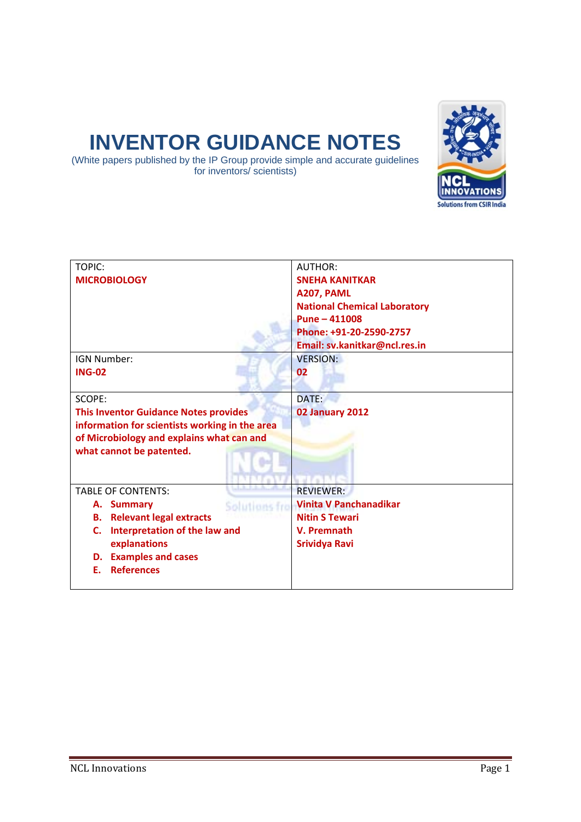# **INVENTOR GUIDANCE NOTES**

(White papers published by the IP Group provide simple and accurate guidelines for inventors/ scientists)



| TOPIC:                                         | <b>AUTHOR:</b>                      |  |
|------------------------------------------------|-------------------------------------|--|
| <b>MICROBIOLOGY</b>                            | <b>SNEHA KANITKAR</b>               |  |
|                                                | A207, PAML                          |  |
|                                                | <b>National Chemical Laboratory</b> |  |
|                                                | Pune - 411008                       |  |
|                                                | Phone: +91-20-2590-2757             |  |
|                                                | Email: sv.kanitkar@ncl.res.in       |  |
| IGN Number:                                    | <b>VERSION:</b>                     |  |
| <b>ING-02</b>                                  | 02                                  |  |
|                                                |                                     |  |
| SCOPE:                                         | DATE:                               |  |
| <b>This Inventor Guidance Notes provides</b>   | 02 January 2012                     |  |
| information for scientists working in the area |                                     |  |
| of Microbiology and explains what can and      |                                     |  |
| what cannot be patented.                       |                                     |  |
|                                                |                                     |  |
|                                                |                                     |  |
| <b>TABLE OF CONTENTS:</b>                      | <b>REVIEWER:</b>                    |  |
| <b>Summary</b><br>А.<br>Solutions fro          | <b>Vinita V Panchanadikar</b>       |  |
| <b>Relevant legal extracts</b><br>В.           | <b>Nitin S Tewari</b>               |  |
| Interpretation of the law and<br>C.            | V. Premnath                         |  |
| explanations                                   | <b>Srividya Ravi</b>                |  |
| <b>Examples and cases</b><br>D.                |                                     |  |
| <b>References</b><br>Е.                        |                                     |  |
|                                                |                                     |  |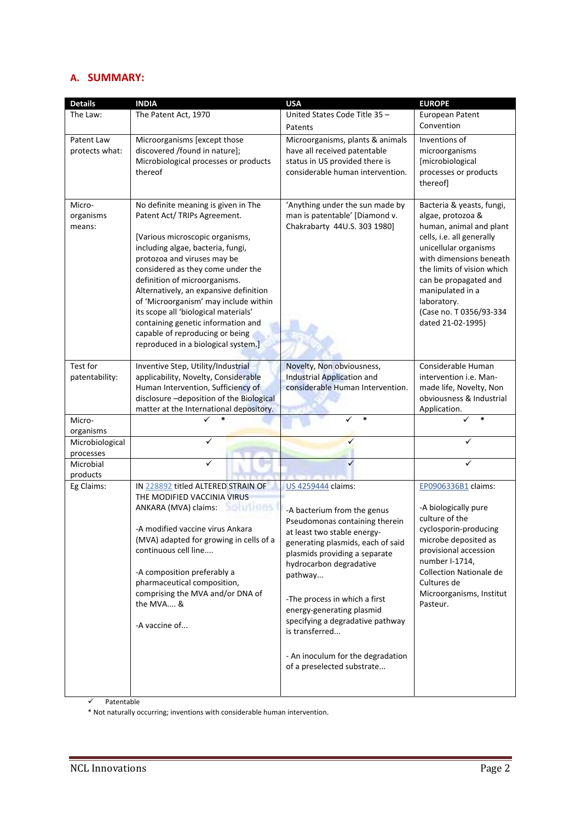# **A. SUMMARY:**

| <b>Details</b>                | <b>INDIA</b>                                                                                                                                                                                                                                                                                                                                                                                                                                                                                | <b>USA</b>                                                                                                                                                                                                                                                                                                                                                                                                            | <b>EUROPE</b>                                                                                                                                                                                                                                                                                        |  |
|-------------------------------|---------------------------------------------------------------------------------------------------------------------------------------------------------------------------------------------------------------------------------------------------------------------------------------------------------------------------------------------------------------------------------------------------------------------------------------------------------------------------------------------|-----------------------------------------------------------------------------------------------------------------------------------------------------------------------------------------------------------------------------------------------------------------------------------------------------------------------------------------------------------------------------------------------------------------------|------------------------------------------------------------------------------------------------------------------------------------------------------------------------------------------------------------------------------------------------------------------------------------------------------|--|
| The Law:                      | The Patent Act, 1970                                                                                                                                                                                                                                                                                                                                                                                                                                                                        | United States Code Title 35 -                                                                                                                                                                                                                                                                                                                                                                                         | European Patent                                                                                                                                                                                                                                                                                      |  |
|                               |                                                                                                                                                                                                                                                                                                                                                                                                                                                                                             | Patents                                                                                                                                                                                                                                                                                                                                                                                                               | Convention                                                                                                                                                                                                                                                                                           |  |
| Patent Law<br>protects what:  | Microorganisms [except those<br>discovered /found in nature];<br>Microbiological processes or products<br>thereof                                                                                                                                                                                                                                                                                                                                                                           | Microorganisms, plants & animals<br>have all received patentable<br>status in US provided there is<br>considerable human intervention.                                                                                                                                                                                                                                                                                | Inventions of<br>microorganisms<br>[microbiological<br>processes or products<br>thereof]                                                                                                                                                                                                             |  |
| Micro-<br>organisms<br>means: | No definite meaning is given in The<br>Patent Act/ TRIPs Agreement.<br>[Various microscopic organisms,<br>including algae, bacteria, fungi,<br>protozoa and viruses may be<br>considered as they come under the<br>definition of microorganisms.<br>Alternatively, an expansive definition<br>of 'Microorganism' may include within<br>its scope all 'biological materials'<br>containing genetic information and<br>capable of reproducing or being<br>reproduced in a biological system.] | 'Anything under the sun made by<br>man is patentable' [Diamond v.<br>Chakrabarty 44U.S. 303 1980]                                                                                                                                                                                                                                                                                                                     | Bacteria & yeasts, fungi,<br>algae, protozoa &<br>human, animal and plant<br>cells, i.e. all generally<br>unicellular organisms<br>with dimensions beneath<br>the limits of vision which<br>can be propagated and<br>manipulated in a<br>laboratory.<br>(Case no. T 0356/93-334<br>dated 21-02-1995) |  |
| Test for<br>patentability:    | Inventive Step, Utility/Industrial<br>applicability, Novelty, Considerable                                                                                                                                                                                                                                                                                                                                                                                                                  | Novelty, Non obviousness,<br><b>Industrial Application and</b>                                                                                                                                                                                                                                                                                                                                                        | Considerable Human<br>intervention i.e. Man-                                                                                                                                                                                                                                                         |  |
|                               | Human Intervention, Sufficiency of<br>disclosure -deposition of the Biological<br>matter at the International depository.                                                                                                                                                                                                                                                                                                                                                                   | considerable Human Intervention.                                                                                                                                                                                                                                                                                                                                                                                      | made life, Novelty, Non<br>obviousness & Industrial<br>Application.                                                                                                                                                                                                                                  |  |
| Micro-                        |                                                                                                                                                                                                                                                                                                                                                                                                                                                                                             | $\ast$                                                                                                                                                                                                                                                                                                                                                                                                                |                                                                                                                                                                                                                                                                                                      |  |
| organisms                     |                                                                                                                                                                                                                                                                                                                                                                                                                                                                                             |                                                                                                                                                                                                                                                                                                                                                                                                                       |                                                                                                                                                                                                                                                                                                      |  |
| Microbiological               |                                                                                                                                                                                                                                                                                                                                                                                                                                                                                             |                                                                                                                                                                                                                                                                                                                                                                                                                       |                                                                                                                                                                                                                                                                                                      |  |
| processes                     |                                                                                                                                                                                                                                                                                                                                                                                                                                                                                             |                                                                                                                                                                                                                                                                                                                                                                                                                       |                                                                                                                                                                                                                                                                                                      |  |
| Microbial                     |                                                                                                                                                                                                                                                                                                                                                                                                                                                                                             |                                                                                                                                                                                                                                                                                                                                                                                                                       |                                                                                                                                                                                                                                                                                                      |  |
| products                      |                                                                                                                                                                                                                                                                                                                                                                                                                                                                                             |                                                                                                                                                                                                                                                                                                                                                                                                                       |                                                                                                                                                                                                                                                                                                      |  |
| Eg Claims:                    | IN 228892 titled ALTERED STRAIN OF<br>THE MODIFIED VACCINIA VIRUS<br>Solutions<br>ANKARA (MVA) claims:<br>-A modified vaccine virus Ankara<br>(MVA) adapted for growing in cells of a<br>continuous cell line<br>-A composition preferably a<br>pharmaceutical composition,<br>comprising the MVA and/or DNA of<br>the MVA &<br>-A vaccine of                                                                                                                                               | US 4259444 claims:<br>-A bacterium from the genus<br>Pseudomonas containing therein<br>at least two stable energy-<br>generating plasmids, each of said<br>plasmids providing a separate<br>hydrocarbon degradative<br>pathway<br>-The process in which a first<br>energy-generating plasmid<br>specifying a degradative pathway<br>is transferred<br>- An inoculum for the degradation<br>of a preselected substrate | EP0906336B1 claims:<br>-A biologically pure<br>culture of the<br>cyclosporin-producing<br>microbe deposited as<br>provisional accession<br>number I-1714,<br><b>Collection Nationale de</b><br>Cultures de<br>Microorganisms, Institut<br>Pasteur.                                                   |  |

 $\checkmark$  Patentable

\* Not naturally occurring; inventions with considerable human intervention.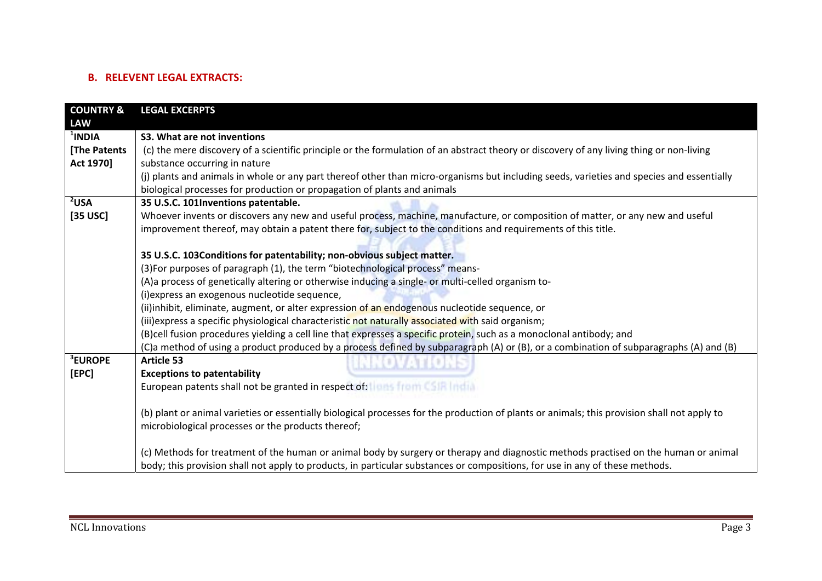# **B. RELEVENT LEGAL EXTRACTS:**

| <b>COUNTRY &amp;</b> | <b>LEGAL EXCERPTS</b>                                                                                                                        |  |  |  |
|----------------------|----------------------------------------------------------------------------------------------------------------------------------------------|--|--|--|
| <b>LAW</b>           |                                                                                                                                              |  |  |  |
| $1$ INDIA            | S3. What are not inventions                                                                                                                  |  |  |  |
| [The Patents         | (c) the mere discovery of a scientific principle or the formulation of an abstract theory or discovery of any living thing or non-living     |  |  |  |
| Act 1970]            | substance occurring in nature                                                                                                                |  |  |  |
|                      | (j) plants and animals in whole or any part thereof other than micro-organisms but including seeds, varieties and species and essentially    |  |  |  |
|                      | biological processes for production or propagation of plants and animals                                                                     |  |  |  |
| $2$ USA              | 35 U.S.C. 101Inventions patentable.                                                                                                          |  |  |  |
| [35 USC]             | Whoever invents or discovers any new and useful process, machine, manufacture, or composition of matter, or any new and useful               |  |  |  |
|                      | improvement thereof, may obtain a patent there for, subject to the conditions and requirements of this title.                                |  |  |  |
|                      |                                                                                                                                              |  |  |  |
|                      | 35 U.S.C. 103Conditions for patentability; non-obvious subject matter.                                                                       |  |  |  |
|                      | (3) For purposes of paragraph (1), the term "biotechnological process" means-                                                                |  |  |  |
|                      | (A)a process of genetically altering or otherwise inducing a single- or multi-celled organism to-                                            |  |  |  |
|                      | (i) express an exogenous nucleotide sequence,                                                                                                |  |  |  |
|                      | (ii)inhibit, eliminate, augment, or alter expression of an endogenous nucleotide sequence, or                                                |  |  |  |
|                      | (iii) express a specific physiological characteristic not naturally associated with said organism;                                           |  |  |  |
|                      | (B)cell fusion procedures yielding a cell line that expresses a specific protein, such as a monoclonal antibody; and                         |  |  |  |
|                      | (C)a method of using a product produced by a process defined by subparagraph (A) or (B), or a combination of subparagraphs (A) and (B)       |  |  |  |
| <sup>3</sup> EUROPE  | <b>Article 53</b>                                                                                                                            |  |  |  |
| [EPC]                | <b>Exceptions to patentability</b>                                                                                                           |  |  |  |
|                      | European patents shall not be granted in respect of: I with from CSIR India.                                                                 |  |  |  |
|                      |                                                                                                                                              |  |  |  |
|                      | (b) plant or animal varieties or essentially biological processes for the production of plants or animals; this provision shall not apply to |  |  |  |
|                      | microbiological processes or the products thereof;                                                                                           |  |  |  |
|                      |                                                                                                                                              |  |  |  |
|                      | (c) Methods for treatment of the human or animal body by surgery or therapy and diagnostic methods practised on the human or animal          |  |  |  |
|                      | body; this provision shall not apply to products, in particular substances or compositions, for use in any of these methods.                 |  |  |  |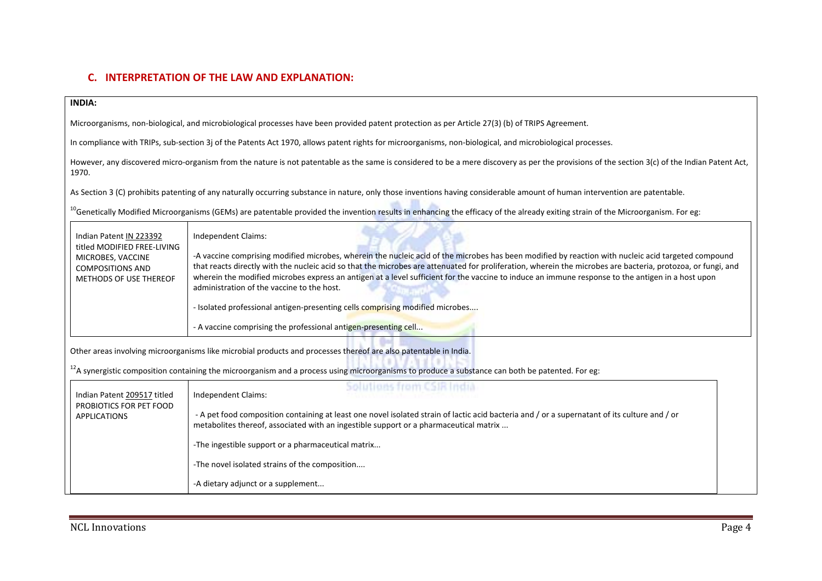# **C. INTERPRETATION OF THE LAW AND EXPLANATION:**

#### **INDIA:**

Microorganisms, non‐biological, and microbiological processes have been provided patent protection as per Article 27(3) (b) of TRIPS Agreement.

In compliance with TRIPs, sub-section 3j of the Patents Act 1970, allows patent rights for microorganisms, non-biological, and microbiological processes.

However, any discovered micro-organism from the nature is not patentable as the same is considered to be a mere discovery as per the provisions of the section 3(c) of the Indian Patent Act, 1970.

As Section 3 (C) prohibits patenting of any naturally occurring substance in nature, only those inventions having considerable amount of human intervention are patentable.

<sup>10</sup>Genetically Modified Microorganisms (GEMs) are patentable provided the invention results in enhancing the efficacy of the already exiting strain of the Microorganism. For eg:

|                                                                                                                                                                                                                                                                                  | Indian Patent IN 223392<br>titled MODIFIED FREE-LIVING<br>MICROBES, VACCINE<br><b>COMPOSITIONS AND</b><br>METHODS OF USE THEREOF | Independent Claims:<br>-A vaccine comprising modified microbes, wherein the nucleic acid of the microbes has been modified by reaction with nucleic acid targeted compound<br>that reacts directly with the nucleic acid so that the microbes are attenuated for proliferation, wherein the microbes are bacteria, protozoa, or fungi, and<br>wherein the modified microbes express an antigen at a level sufficient for the vaccine to induce an immune response to the antigen in a host upon<br>administration of the vaccine to the host.<br>- Isolated professional antigen-presenting cells comprising modified microbes<br>- A vaccine comprising the professional antigen-presenting cell |  |  |
|----------------------------------------------------------------------------------------------------------------------------------------------------------------------------------------------------------------------------------------------------------------------------------|----------------------------------------------------------------------------------------------------------------------------------|---------------------------------------------------------------------------------------------------------------------------------------------------------------------------------------------------------------------------------------------------------------------------------------------------------------------------------------------------------------------------------------------------------------------------------------------------------------------------------------------------------------------------------------------------------------------------------------------------------------------------------------------------------------------------------------------------|--|--|
| Other areas involving microorganisms like microbial products and processes thereof are also patentable in India.<br><sup>12</sup> A synergistic composition containing the microorganism and a process using microorganisms to produce a substance can both be patented. For eg: |                                                                                                                                  |                                                                                                                                                                                                                                                                                                                                                                                                                                                                                                                                                                                                                                                                                                   |  |  |
|                                                                                                                                                                                                                                                                                  | Indian Patent 209517 titled<br>PROBIOTICS FOR PET FOOD<br><b>APPLICATIONS</b>                                                    | Solutions from CSIR India<br>Independent Claims:<br>- A pet food composition containing at least one novel isolated strain of lactic acid bacteria and / or a supernatant of its culture and / or<br>metabolites thereof, associated with an ingestible support or a pharmaceutical matrix<br>-The ingestible support or a pharmaceutical matrix<br>-The novel isolated strains of the composition<br>-A dietary adjunct or a supplement                                                                                                                                                                                                                                                          |  |  |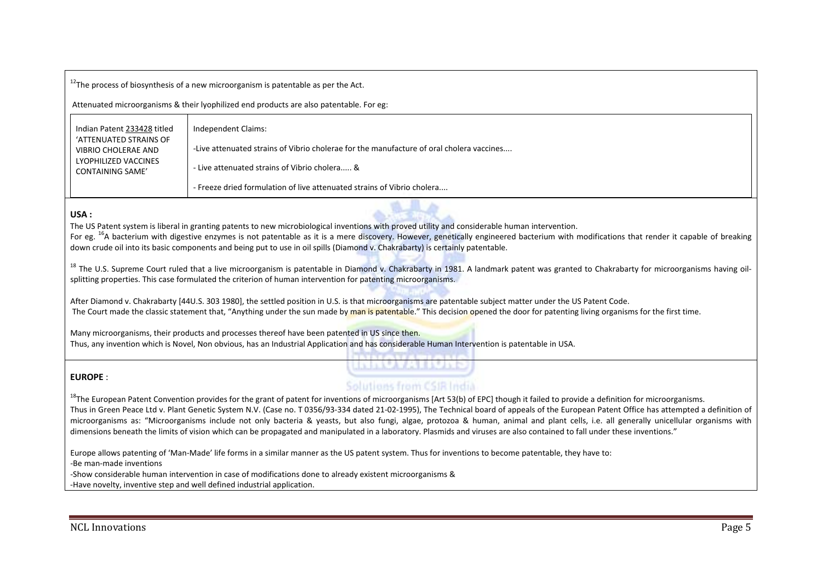$^{12}$ The process of biosynthesis of a new microorganism is patentable as per the Act.

Attenuated microorganisms & their lyophilized end products are also patentable. For eg:

| Indian Patent 233428 titled                   | Independent Claims:                                                                      |
|-----------------------------------------------|------------------------------------------------------------------------------------------|
| 'ATTENUATED STRAINS OF<br>VIBRIO CHOLERAE AND | -Live attenuated strains of Vibrio cholerae for the manufacture of oral cholera vaccines |
| LYOPHILIZED VACCINES<br>CONTAINING SAME'      | - Live attenuated strains of Vibrio cholera &                                            |
|                                               | - Freeze dried formulation of live attenuated strains of Vibrio cholera                  |

### **USA :**

The US Patent system is liberal in granting patents to new microbiological inventions with proved utility and considerable human intervention.

For eg. <sup>16</sup>A bacterium with digestive enzymes is not patentable as it is a mere discovery. However, genetically engineered bacterium with modifications that render it capable of breaking down crude oil into its basic components and being put to use in oil spills (Diamond v. Chakrabarty) is certainly patentable.

<sup>18</sup> The U.S. Supreme Court ruled that a live microorganism is patentable in Diamond v. Chakrabarty in 1981. A landmark patent was granted to Chakrabarty for microorganisms having oilsplitting properties. This case formulated the criterion of human intervention for patenting microorganisms.

After Diamond v. Chakrabarty [44U.S. 303 1980], the settled position in U.S. is that microorganisms are patentable subject matter under the US Patent Code. The Court made the classic statement that, "Anything under the sun made by man is patentable." This decision opened the door for patenting living organisms for the first time.

Many microorganisms, their products and processes thereof have been patented in US since then. Thus, any invention which is Novel, Non obvious, has an Industrial Application and has considerable Human Intervention is patentable in USA.

#### **EUROPE** :

# Solutions from CSIR India

<u> Barristia de Car</u>

 $^{18}$ The European Patent Convention provides for the grant of patent for inventions of microorganisms [Art 53(b) of EPC] though it failed to provide a definition for microorganisms. Thus in Green Peace Ltd v. Plant Genetic System N.V. (Case no. T 0356/93‐334 dated 21‐02‐1995), The Technical board of appeals of the European Patent Office has attempted <sup>a</sup> definition of microorganisms as: "Microorganisms include not only bacteria & yeasts, but also fungi, algae, protozoa & human, animal and plant cells, i.e. all generally unicellular organisms with dimensions beneath the limits of vision which can be propagated and manipulated in <sup>a</sup> laboratory. Plasmids and viruses are also contained to fall under these inventions."

Europe allows patenting of 'Man‐Made' life forms in <sup>a</sup> similar manner as the US patent system. Thus for inventions to become patentable, they have to:

‐Be man‐made inventions

‐Show considerable human intervention in case of modifications done to already existent microorganisms &

‐Have novelty, inventive step and well defined industrial application.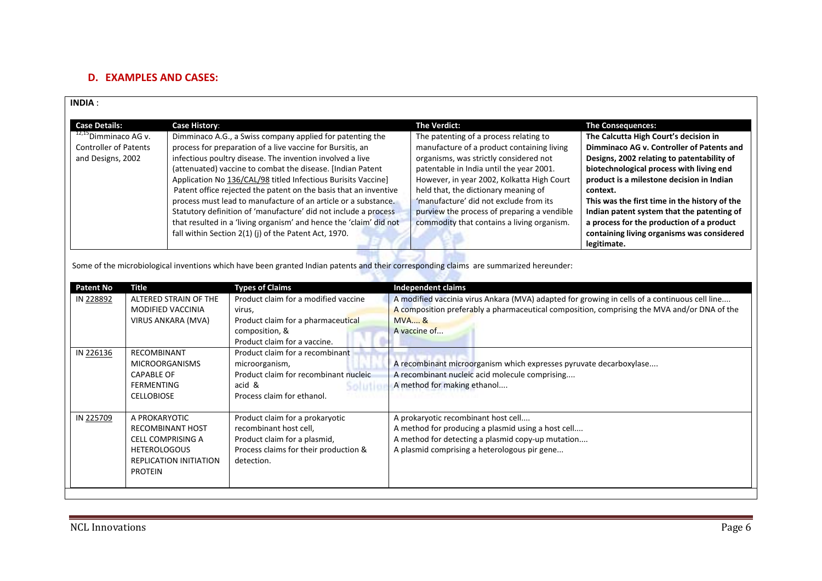# **D. EXAMPLES AND CASES:**

| <b>INDIA:</b>                                                                                                                                                                                                                                                                                                                                                                                                                                                                                                                                                                                                                                                                                                                                                                               |                                                                         |                                                                                                                                                                  |                                                                                                                                                                                                                                                                                                                                                                                                         |                                                                                                                                                                                                                                                                                                                                                                                                                                                                            |                                                                                                                                                                                              |
|---------------------------------------------------------------------------------------------------------------------------------------------------------------------------------------------------------------------------------------------------------------------------------------------------------------------------------------------------------------------------------------------------------------------------------------------------------------------------------------------------------------------------------------------------------------------------------------------------------------------------------------------------------------------------------------------------------------------------------------------------------------------------------------------|-------------------------------------------------------------------------|------------------------------------------------------------------------------------------------------------------------------------------------------------------|---------------------------------------------------------------------------------------------------------------------------------------------------------------------------------------------------------------------------------------------------------------------------------------------------------------------------------------------------------------------------------------------------------|----------------------------------------------------------------------------------------------------------------------------------------------------------------------------------------------------------------------------------------------------------------------------------------------------------------------------------------------------------------------------------------------------------------------------------------------------------------------------|----------------------------------------------------------------------------------------------------------------------------------------------------------------------------------------------|
| <b>Case Details:</b><br><b>Case History:</b><br>$12,15$ Dimminaco AG v.<br>Dimminaco A.G., a Swiss company applied for patenting the<br><b>Controller of Patents</b><br>process for preparation of a live vaccine for Bursitis, an<br>infectious poultry disease. The invention involved a live<br>and Designs, 2002<br>(attenuated) vaccine to combat the disease. [Indian Patent<br>Application No 136/CAL/98 titled Infectious Burisits Vaccine]<br>Patent office rejected the patent on the basis that an inventive<br>process must lead to manufacture of an article or a substance.<br>Statutory definition of 'manufacture' did not include a process<br>that resulted in a 'living organism' and hence the 'claim' did not<br>fall within Section 2(1) (j) of the Patent Act, 1970. |                                                                         | The Verdict:                                                                                                                                                     | The patenting of a process relating to<br>manufacture of a product containing living<br>organisms, was strictly considered not<br>patentable in India until the year 2001.<br>However, in year 2002, Kolkatta High Court<br>held that, the dictionary meaning of<br>'manufacture' did not exclude from its<br>purview the process of preparing a vendible<br>commodity that contains a living organism. | <b>The Consequences:</b><br>The Calcutta High Court's decision in<br>Dimminaco AG v. Controller of Patents and<br>Designs, 2002 relating to patentability of<br>biotechnological process with living end<br>product is a milestone decision in Indian<br>context.<br>This was the first time in the history of the<br>Indian patent system that the patenting of<br>a process for the production of a product<br>containing living organisms was considered<br>legitimate. |                                                                                                                                                                                              |
| <b>Patent No</b>                                                                                                                                                                                                                                                                                                                                                                                                                                                                                                                                                                                                                                                                                                                                                                            | <b>Title</b>                                                            | Some of the microbiological inventions which have been granted Indian patents and their corresponding claims are summarized hereunder:<br><b>Types of Claims</b> | <b>Independent claims</b>                                                                                                                                                                                                                                                                                                                                                                               |                                                                                                                                                                                                                                                                                                                                                                                                                                                                            |                                                                                                                                                                                              |
| IN 228892                                                                                                                                                                                                                                                                                                                                                                                                                                                                                                                                                                                                                                                                                                                                                                                   | ALTERED STRAIN OF THE<br><b>MODIFIED VACCINIA</b><br>VIRUS ANKARA (MVA) | Product claim for a modified vaccine<br>virus,<br>Product claim for a pharmaceutical<br>composition, &<br>Product claim for a vaccine.                           | <b>MVA&amp;</b><br>A vaccine of                                                                                                                                                                                                                                                                                                                                                                         |                                                                                                                                                                                                                                                                                                                                                                                                                                                                            | A modified vaccinia virus Ankara (MVA) adapted for growing in cells of a continuous cell line<br>A composition preferably a pharmaceutical composition, comprising the MVA and/or DNA of the |
| <b>RECOMBINANT</b><br>IN 226136<br><b>MICROORGANISMS</b><br><b>CAPABLE OF</b><br><b>FERMENTING</b><br><b>CELLOBIOSE</b>                                                                                                                                                                                                                                                                                                                                                                                                                                                                                                                                                                                                                                                                     |                                                                         | Product claim for a recombinant<br>microorganism,<br>Product claim for recombinant nucleic<br>acid &<br>solutic<br>Process claim for ethanol.                    | A recombinant microorganism which expresses pyruvate decarboxylase<br>A recombinant nucleic acid molecule comprising<br>A method for making ethanol                                                                                                                                                                                                                                                     |                                                                                                                                                                                                                                                                                                                                                                                                                                                                            |                                                                                                                                                                                              |
| IN 225709<br>A PROKARYOTIC<br>Product claim for a prokaryotic<br><b>RECOMBINANT HOST</b><br>recombinant host cell,<br><b>CELL COMPRISING A</b><br>Product claim for a plasmid,<br>Process claims for their production &<br><b>HETEROLOGOUS</b><br>REPLICATION INITIATION<br>detection.<br><b>PROTEIN</b>                                                                                                                                                                                                                                                                                                                                                                                                                                                                                    |                                                                         | A prokaryotic recombinant host cell                                                                                                                              | A method for producing a plasmid using a host cell<br>A method for detecting a plasmid copy-up mutation<br>A plasmid comprising a heterologous pir gene                                                                                                                                                                                                                                                 |                                                                                                                                                                                                                                                                                                                                                                                                                                                                            |                                                                                                                                                                                              |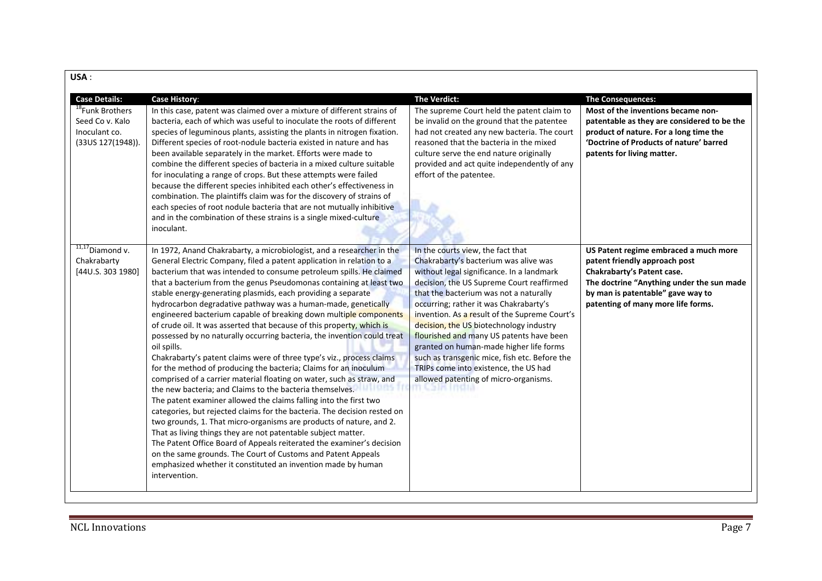| USA:                                                                                                         |                                                                                                                                                                                                                                                                                                                                                                                                                                                                                                                                                                                                                                                                                                                                                                                                                                                                                                                                                                                                                                                                                                                                                                                                                                                                                                                                                                                                                                                                            |                                                                                                                                                                                                                                                                                                                                                                                                                                                                                                                                                                                               |                                                                                                                                                                                                                                  |
|--------------------------------------------------------------------------------------------------------------|----------------------------------------------------------------------------------------------------------------------------------------------------------------------------------------------------------------------------------------------------------------------------------------------------------------------------------------------------------------------------------------------------------------------------------------------------------------------------------------------------------------------------------------------------------------------------------------------------------------------------------------------------------------------------------------------------------------------------------------------------------------------------------------------------------------------------------------------------------------------------------------------------------------------------------------------------------------------------------------------------------------------------------------------------------------------------------------------------------------------------------------------------------------------------------------------------------------------------------------------------------------------------------------------------------------------------------------------------------------------------------------------------------------------------------------------------------------------------|-----------------------------------------------------------------------------------------------------------------------------------------------------------------------------------------------------------------------------------------------------------------------------------------------------------------------------------------------------------------------------------------------------------------------------------------------------------------------------------------------------------------------------------------------------------------------------------------------|----------------------------------------------------------------------------------------------------------------------------------------------------------------------------------------------------------------------------------|
| <b>Case Details:</b><br><sup>18</sup> Funk Brothers<br>Seed Co v. Kalo<br>Inoculant co.<br>(33US 127(1948)). | <b>Case History:</b><br>In this case, patent was claimed over a mixture of different strains of<br>bacteria, each of which was useful to inoculate the roots of different<br>species of leguminous plants, assisting the plants in nitrogen fixation.<br>Different species of root-nodule bacteria existed in nature and has<br>been available separately in the market. Efforts were made to<br>combine the different species of bacteria in a mixed culture suitable<br>for inoculating a range of crops. But these attempts were failed<br>because the different species inhibited each other's effectiveness in<br>combination. The plaintiffs claim was for the discovery of strains of<br>each species of root nodule bacteria that are not mutually inhibitive<br>and in the combination of these strains is a single mixed-culture<br>inoculant.                                                                                                                                                                                                                                                                                                                                                                                                                                                                                                                                                                                                                   | The Verdict:<br>The supreme Court held the patent claim to<br>be invalid on the ground that the patentee<br>had not created any new bacteria. The court<br>reasoned that the bacteria in the mixed<br>culture serve the end nature originally<br>provided and act quite independently of any<br>effort of the patentee.                                                                                                                                                                                                                                                                       | <b>The Consequences:</b><br>Most of the inventions became non-<br>patentable as they are considered to be the<br>product of nature. For a long time the<br>'Doctrine of Products of nature' barred<br>patents for living matter. |
| $11,17$ Diamond v.<br>Chakrabarty<br>[44U.S. 303 1980]                                                       | In 1972, Anand Chakrabarty, a microbiologist, and a researcher in the<br>General Electric Company, filed a patent application in relation to a<br>bacterium that was intended to consume petroleum spills. He claimed<br>that a bacterium from the genus Pseudomonas containing at least two<br>stable energy-generating plasmids, each providing a separate<br>hydrocarbon degradative pathway was a human-made, genetically<br>engineered bacterium capable of breaking down multiple components<br>of crude oil. It was asserted that because of this property, which is<br>possessed by no naturally occurring bacteria, the invention could treat<br>oil spills.<br>Chakrabarty's patent claims were of three type's viz., process claims<br>for the method of producing the bacteria; Claims for an inoculum<br>comprised of a carrier material floating on water, such as straw, and<br>the new bacteria; and Claims to the bacteria themselves.<br>The patent examiner allowed the claims falling into the first two<br>categories, but rejected claims for the bacteria. The decision rested on<br>two grounds, 1. That micro-organisms are products of nature, and 2.<br>That as living things they are not patentable subject matter.<br>The Patent Office Board of Appeals reiterated the examiner's decision<br>on the same grounds. The Court of Customs and Patent Appeals<br>emphasized whether it constituted an invention made by human<br>intervention. | In the courts view, the fact that<br>Chakrabarty's bacterium was alive was<br>without legal significance. In a landmark<br>decision, the US Supreme Court reaffirmed<br>that the bacterium was not a naturally<br>occurring; rather it was Chakrabarty's<br>invention. As a result of the Supreme Court's<br>decision, the US biotechnology industry<br>flourished and many US patents have been<br>granted on human-made higher life forms<br>such as transgenic mice, fish etc. Before the<br>TRIPs come into existence, the US had<br>allowed patenting of micro-organisms.<br>т чата тела | US Patent regime embraced a much more<br>patent friendly approach post<br>Chakrabarty's Patent case.<br>The doctrine "Anything under the sun made<br>by man is patentable" gave way to<br>patenting of many more life forms.     |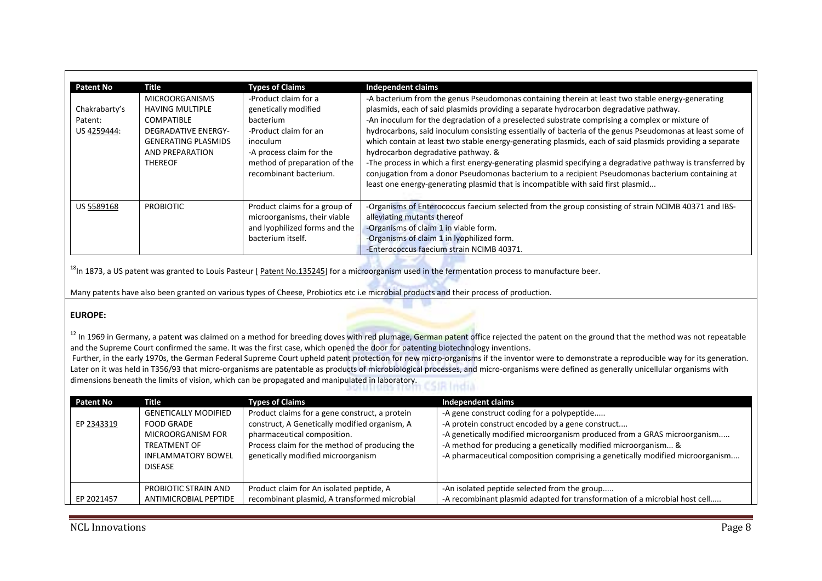| <b>Patent No</b>                        | Title                                                                                                                                                                 | <b>Types of Claims</b>                                                                                                                                                                      | <b>Independent claims</b>                                                                                                                                                                                                                                                                                                                                                                                                                                                                                                                                                                                                                                                                                                                                                                                                                                        |
|-----------------------------------------|-----------------------------------------------------------------------------------------------------------------------------------------------------------------------|---------------------------------------------------------------------------------------------------------------------------------------------------------------------------------------------|------------------------------------------------------------------------------------------------------------------------------------------------------------------------------------------------------------------------------------------------------------------------------------------------------------------------------------------------------------------------------------------------------------------------------------------------------------------------------------------------------------------------------------------------------------------------------------------------------------------------------------------------------------------------------------------------------------------------------------------------------------------------------------------------------------------------------------------------------------------|
| Chakrabarty's<br>Patent:<br>US 4259444: | <b>MICROORGANISMS</b><br><b>HAVING MULTIPLE</b><br><b>COMPATIBLE</b><br><b>DEGRADATIVE ENERGY-</b><br><b>GENERATING PLASMIDS</b><br>AND PREPARATION<br><b>THEREOF</b> | -Product claim for a<br>genetically modified<br>bacterium<br>-Product claim for an<br><i>inoculum</i><br>-A process claim for the<br>method of preparation of the<br>recombinant bacterium. | -A bacterium from the genus Pseudomonas containing therein at least two stable energy-generating<br>plasmids, each of said plasmids providing a separate hydrocarbon degradative pathway.<br>-An inoculum for the degradation of a preselected substrate comprising a complex or mixture of<br>hydrocarbons, said inoculum consisting essentially of bacteria of the genus Pseudomonas at least some of<br>which contain at least two stable energy-generating plasmids, each of said plasmids providing a separate<br>hydrocarbon degradative pathway. &<br>-The process in which a first energy-generating plasmid specifying a degradative pathway is transferred by<br>conjugation from a donor Pseudomonas bacterium to a recipient Pseudomonas bacterium containing at<br>least one energy-generating plasmid that is incompatible with said first plasmid |
| US 5589168                              | <b>PROBIOTIC</b>                                                                                                                                                      | Product claims for a group of<br>microorganisms, their viable<br>and Ivophilized forms and the<br>bacterium itself.                                                                         | -Organisms of Enterococcus faecium selected from the group consisting of strain NCIMB 40371 and IBS-<br>alleviating mutants thereof<br>-Organisms of claim 1 in viable form.<br>-Organisms of claim 1 in lyophilized form.<br>-Enterococcus faecium strain NCIMB 40371.                                                                                                                                                                                                                                                                                                                                                                                                                                                                                                                                                                                          |

 $^{18}$ In 1873, a US patent was granted to Louis Pasteur [ Patent No.135245] for a microorganism used in the fermentation process to manufacture beer.

Many patents have also been granted on various types of Cheese, Probiotics etc i.e microbial products and their process of production.

### **EUROPE:**

 $^{12}$  In 1969 in Germany, a patent was claimed on a method for breeding doves with red plumage, German patent office rejected the patent on the ground that the method was not repeatable and the Supreme Court confirmed the same. It was the first case, which opened the door for patenting biotechnology inventions.

Further, in the early 1970s, the German Federal Supreme Court upheld patent protection for new micro-organisms if the inventor were to demonstrate a reproducible way for its generation. Later on it was held in T356/93 that micro-organisms are patentable as products of microbiological processes, and micro-organisms were defined as generally unicellular organisms with dimensions beneath the limits of vision, which can be propagated and manipulated in laboratory.

| <b>Patent No</b> | Title                                                                                                                         | <b>Types of Claims</b>                                                                                                                                                                                                | <b>Independent claims</b>                                                                                                                                                                                                                                                                                                     |
|------------------|-------------------------------------------------------------------------------------------------------------------------------|-----------------------------------------------------------------------------------------------------------------------------------------------------------------------------------------------------------------------|-------------------------------------------------------------------------------------------------------------------------------------------------------------------------------------------------------------------------------------------------------------------------------------------------------------------------------|
| EP 2343319       | <b>GENETICALLY MODIFIED</b><br>FOOD GRADE<br>MICROORGANISM FOR<br><b>TREATMENT OF</b><br><b>INFLAMMATORY BOWEL</b><br>DISEASE | Product claims for a gene construct, a protein<br>construct, A Genetically modified organism, A<br>pharmaceutical composition.<br>Process claim for the method of producing the<br>genetically modified microorganism | -A gene construct coding for a polypeptide<br>-A protein construct encoded by a gene construct<br>-A genetically modified microorganism produced from a GRAS microorganism<br>-A method for producing a genetically modified microorganism &<br>-A pharmaceutical composition comprising a genetically modified microorganism |
| EP 2021457       | PROBIOTIC STRAIN AND<br>ANTIMICROBIAL PEPTIDE                                                                                 | Product claim for An isolated peptide, A<br>recombinant plasmid, A transformed microbial                                                                                                                              | -An isolated peptide selected from the group<br>-A recombinant plasmid adapted for transformation of a microbial host cell                                                                                                                                                                                                    |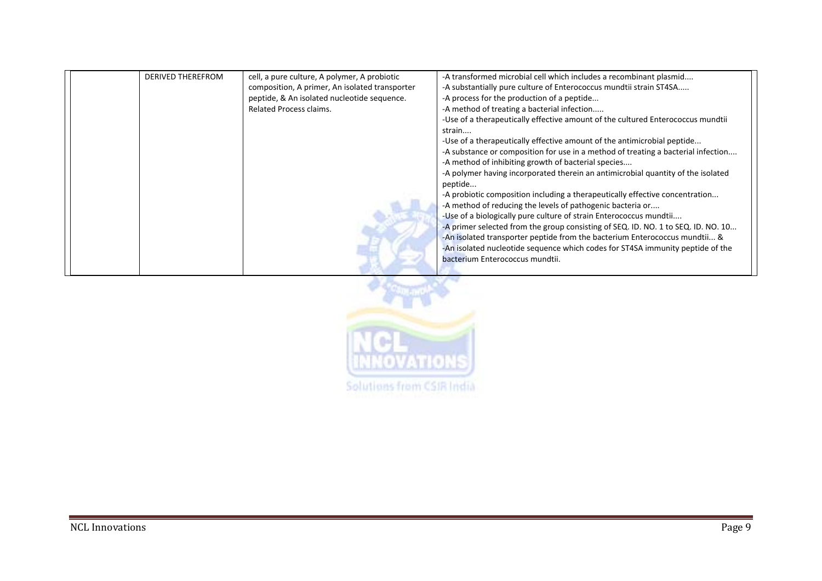| <b>DERIVED THEREFROM</b> | cell, a pure culture, A polymer, A probiotic   | -A transformed microbial cell which includes a recombinant plasmid                |
|--------------------------|------------------------------------------------|-----------------------------------------------------------------------------------|
|                          | composition, A primer, An isolated transporter | -A substantially pure culture of Enterococcus mundtii strain ST4SA                |
|                          | peptide, & An isolated nucleotide sequence.    | -A process for the production of a peptide                                        |
|                          | Related Process claims.                        | -A method of treating a bacterial infection                                       |
|                          |                                                | -Use of a therapeutically effective amount of the cultured Enterococcus mundtii   |
|                          |                                                | strain                                                                            |
|                          |                                                | -Use of a therapeutically effective amount of the antimicrobial peptide           |
|                          |                                                | -A substance or composition for use in a method of treating a bacterial infection |
|                          |                                                | -A method of inhibiting growth of bacterial species                               |
|                          |                                                | -A polymer having incorporated therein an antimicrobial quantity of the isolated  |
|                          |                                                | peptide                                                                           |
|                          |                                                | -A probiotic composition including a therapeutically effective concentration      |
|                          |                                                | -A method of reducing the levels of pathogenic bacteria or                        |
|                          |                                                | -Use of a biologically pure culture of strain Enterococcus mundtii                |
|                          |                                                | -A primer selected from the group consisting of SEQ. ID. NO. 1 to SEQ. ID. NO. 10 |
|                          |                                                | -An isolated transporter peptide from the bacterium Enterococcus mundtii &        |
|                          |                                                | -An isolated nucleotide sequence which codes for ST4SA immunity peptide of the    |
|                          |                                                | bacterium Enterococcus mundtii.                                                   |
|                          |                                                |                                                                                   |